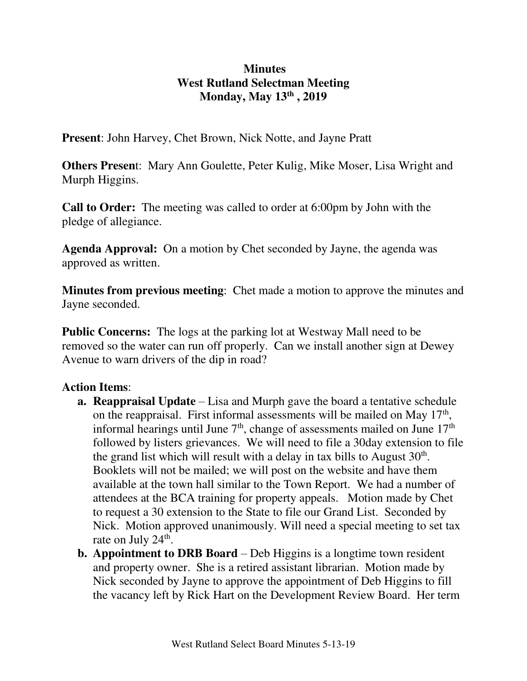## **Minutes West Rutland Selectman Meeting Monday, May 13th , 2019**

**Present**: John Harvey, Chet Brown, Nick Notte, and Jayne Pratt

**Others Presen**t: Mary Ann Goulette, Peter Kulig, Mike Moser, Lisa Wright and Murph Higgins.

**Call to Order:** The meeting was called to order at 6:00pm by John with the pledge of allegiance.

**Agenda Approval:** On a motion by Chet seconded by Jayne, the agenda was approved as written.

**Minutes from previous meeting**: Chet made a motion to approve the minutes and Jayne seconded.

**Public Concerns:** The logs at the parking lot at Westway Mall need to be removed so the water can run off properly. Can we install another sign at Dewey Avenue to warn drivers of the dip in road?

## **Action Items**:

- **a. Reappraisal Update** Lisa and Murph gave the board a tentative schedule on the reappraisal. First informal assessments will be mailed on May  $17<sup>th</sup>$ , informal hearings until June  $7<sup>th</sup>$ , change of assessments mailed on June  $17<sup>th</sup>$ followed by listers grievances. We will need to file a 30day extension to file the grand list which will result with a delay in tax bills to August  $30<sup>th</sup>$ . Booklets will not be mailed; we will post on the website and have them available at the town hall similar to the Town Report. We had a number of attendees at the BCA training for property appeals. Motion made by Chet to request a 30 extension to the State to file our Grand List. Seconded by Nick. Motion approved unanimously. Will need a special meeting to set tax rate on July 24<sup>th</sup>.
- **b.** Appointment to DRB Board Deb Higgins is a longtime town resident and property owner. She is a retired assistant librarian. Motion made by Nick seconded by Jayne to approve the appointment of Deb Higgins to fill the vacancy left by Rick Hart on the Development Review Board. Her term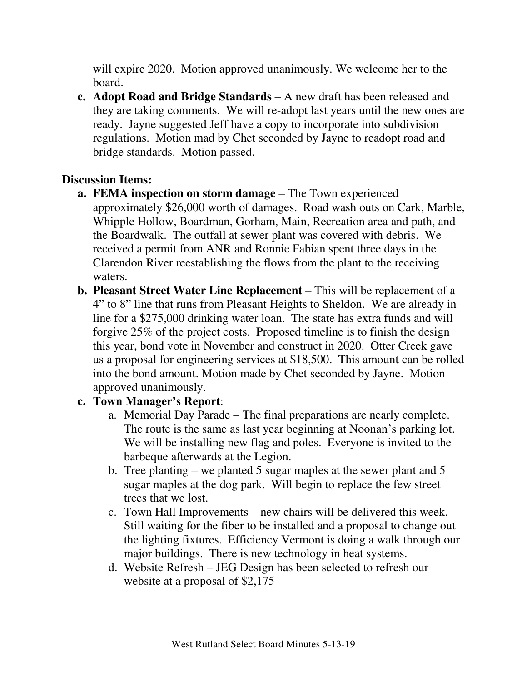will expire 2020. Motion approved unanimously. We welcome her to the board.

**c. Adopt Road and Bridge Standards** – A new draft has been released and they are taking comments. We will re-adopt last years until the new ones are ready. Jayne suggested Jeff have a copy to incorporate into subdivision regulations. Motion mad by Chet seconded by Jayne to readopt road and bridge standards. Motion passed.

### **Discussion Items:**

- **a. FEMA inspection on storm damage –** The Town experienced approximately \$26,000 worth of damages. Road wash outs on Cark, Marble, Whipple Hollow, Boardman, Gorham, Main, Recreation area and path, and the Boardwalk. The outfall at sewer plant was covered with debris. We received a permit from ANR and Ronnie Fabian spent three days in the Clarendon River reestablishing the flows from the plant to the receiving waters.
- **b. Pleasant Street Water Line Replacement –** This will be replacement of a 4" to 8" line that runs from Pleasant Heights to Sheldon. We are already in line for a \$275,000 drinking water loan. The state has extra funds and will forgive 25% of the project costs. Proposed timeline is to finish the design this year, bond vote in November and construct in 2020. Otter Creek gave us a proposal for engineering services at \$18,500. This amount can be rolled into the bond amount. Motion made by Chet seconded by Jayne. Motion approved unanimously.

# **c. Town Manager's Report**:

- a. Memorial Day Parade The final preparations are nearly complete. The route is the same as last year beginning at Noonan's parking lot. We will be installing new flag and poles. Everyone is invited to the barbeque afterwards at the Legion.
- b. Tree planting we planted 5 sugar maples at the sewer plant and 5 sugar maples at the dog park. Will begin to replace the few street trees that we lost.
- c. Town Hall Improvements new chairs will be delivered this week. Still waiting for the fiber to be installed and a proposal to change out the lighting fixtures. Efficiency Vermont is doing a walk through our major buildings. There is new technology in heat systems.
- d. Website Refresh JEG Design has been selected to refresh our website at a proposal of \$2,175